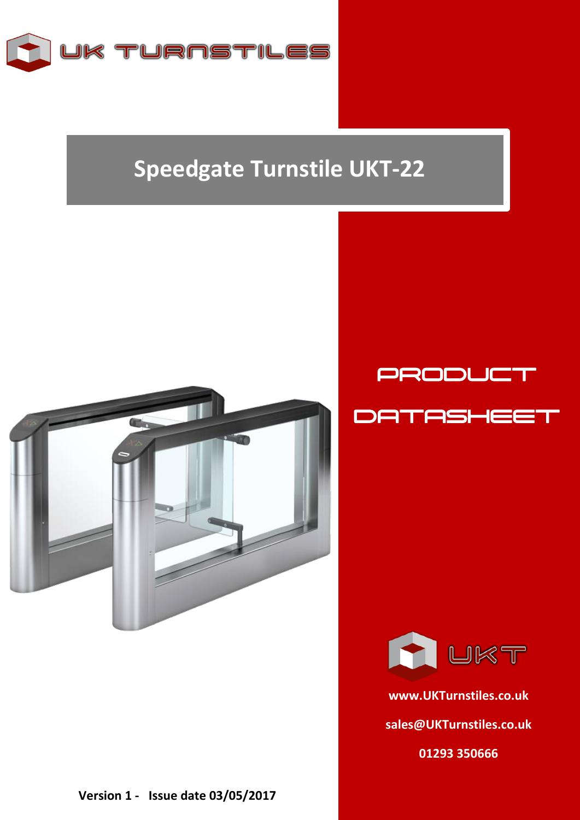

## **Speedgate Turnstile UKT-22**



**Version 1 - Issue date 03/05/2017**

**RA LIKT** 

PRODUCT

**DATASHEE** 

**[www.UKTurnstiles.co.uk](http://www.ukturnstiles.co.uk/) [sales@UKTurnstiles.co.uk](mailto:sales@UKTurnstiles.co.uk) 01293 350666**